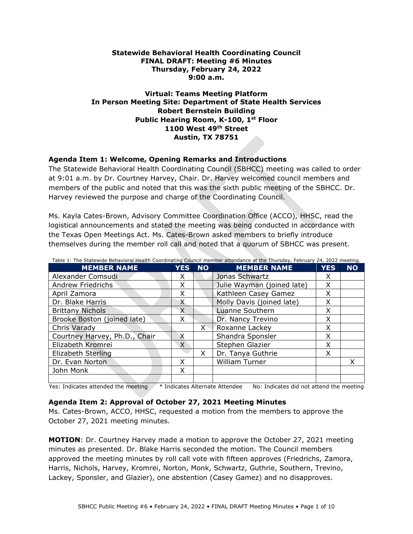#### **Statewide Behavioral Health Coordinating Council FINAL DRAFT: Meeting #6 Minutes Thursday, February 24, 2022 9:00 a.m.**

### **Virtual: Teams Meeting Platform In Person Meeting Site: Department of State Health Services Robert Bernstein Building Public Hearing Room, K-100, 1st Floor 1100 West 49th Street Austin, TX 78751**

### **Agenda Item 1: Welcome, Opening Remarks and Introductions**

The Statewide Behavioral Health Coordinating Council (SBHCC) meeting was called to order at 9:01 a.m. by Dr. Courtney Harvey, Chair. Dr. Harvey welcomed council members and members of the public and noted that this was the sixth public meeting of the SBHCC. Dr. Harvey reviewed the purpose and charge of the Coordinating Council.

Ms. Kayla Cates-Brown, Advisory Committee Coordination Office (ACCO), HHSC, read the logistical announcements and stated the meeting was being conducted in accordance with the Texas Open Meetings Act. Ms. Cates-Brown asked members to briefly introduce themselves during the member roll call and noted that a quorum of SBHCC was present.

| <b>MEMBER NAME</b>            | <b>YES</b> | <b>NO</b> | <b>MEMBER NAME</b>         | <b>YES</b> | <b>NO</b> |
|-------------------------------|------------|-----------|----------------------------|------------|-----------|
| Alexander Comsudi             | x          |           | Jonas Schwartz             | X          |           |
| <b>Andrew Friedrichs</b>      | x          |           | Julie Wayman (joined late) | X          |           |
| April Zamora                  | X          |           | Kathleen Casey Gamez       | X          |           |
| Dr. Blake Harris              | X          |           | Molly Davis (joined late)  | X          |           |
| <b>Brittany Nichols</b>       | X          |           | Luanne Southern            | X          |           |
| Brooke Boston (joined late)   | X          |           | Dr. Nancy Trevino          | X          |           |
| Chris Varady                  |            | Х.        | Roxanne Lackey             | X          |           |
| Courtney Harvey, Ph.D., Chair |            |           | Shandra Sponsler           | X          |           |
| Elizabeth Kromrei             | $\chi$     |           | Stephen Glazier            | X          |           |
| Elizabeth Sterling            |            | X         | Dr. Tanya Guthrie          | X          |           |
| Dr. Evan Norton               | X          |           | <b>William Turner</b>      |            | x         |
| John Monk                     | X          |           |                            |            |           |
|                               |            |           |                            |            |           |

Yes: Indicates attended the meeting \* Indicates Alternate Attendee No: Indicates did not attend the meeting

### **Agenda Item 2: Approval of October 27, 2021 Meeting Minutes**

Ms. Cates-Brown, ACCO, HHSC, requested a motion from the members to approve the October 27, 2021 meeting minutes.

**MOTION**: Dr. Courtney Harvey made a motion to approve the October 27, 2021 meeting minutes as presented. Dr. Blake Harris seconded the motion. The Council members approved the meeting minutes by roll call vote with fifteen approves (Friedrichs, Zamora, Harris, Nichols, Harvey, Kromrei, Norton, Monk, Schwartz, Guthrie, Southern, Trevino, Lackey, Sponsler, and Glazier), one abstention (Casey Gamez) and no disapproves.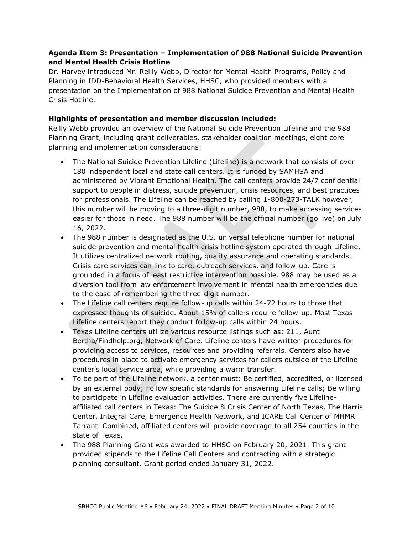## **Agenda Item 3: Presentation – Implementation of 988 National Suicide Prevention and Mental Health Crisis Hotline**

Dr. Harvey introduced Mr. Reilly Webb, Director for Mental Health Programs, Policy and Planning in IDD-Behavioral Health Services, HHSC, who provided members with a presentation on the Implementation of 988 National Suicide Prevention and Mental Health Crisis Hotline.

### **Highlights of presentation and member discussion included:**

Reilly Webb provided an overview of the National Suicide Prevention Lifeline and the 988 Planning Grant, including grant deliverables, stakeholder coalition meetings, eight core planning and implementation considerations:

- The National Suicide Prevention Lifeline (Lifeline) is a network that consists of over 180 independent local and state call centers. It is funded by SAMHSA and administered by Vibrant Emotional Health. The call centers provide 24/7 confidential support to people in distress, suicide prevention, crisis resources, and best practices for professionals. The Lifeline can be reached by calling 1-800-273-TALK however, this number will be moving to a three-digit number, 988, to make accessing services easier for those in need. The 988 number will be the official number (go live) on July 16, 2022.
- The 988 number is designated as the U.S. universal telephone number for national suicide prevention and mental health crisis hotline system operated through Lifeline. It utilizes centralized network routing, quality assurance and operating standards. Crisis care services can link to care, outreach services, and follow-up. Care is grounded in a focus of least restrictive intervention possible. 988 may be used as a diversion tool from law enforcement involvement in mental health emergencies due to the ease of remembering the three-digit number.
- The Lifeline call centers require follow-up calls within 24-72 hours to those that expressed thoughts of suicide. About 15% of callers require follow-up. Most Texas Lifeline centers report they conduct follow-up calls within 24 hours.
- Texas Lifeline centers utilize various resource listings such as: 211, Aunt Bertha/Findhelp.org, Network of Care. Lifeline centers have written procedures for providing access to services, resources and providing referrals. Centers also have procedures in place to activate emergency services for callers outside of the Lifeline center's local service area, while providing a warm transfer.
- To be part of the Lifeline network, a center must: Be certified, accredited, or licensed by an external body; Follow specific standards for answering Lifeline calls; Be willing to participate in Lifeline evaluation activities. There are currently five Lifelineaffiliated call centers in Texas: The Suicide & Crisis Center of North Texas, The Harris Center, Integral Care, Emergence Health Network, and ICARE Call Center of MHMR Tarrant. Combined, affiliated centers will provide coverage to all 254 counties in the state of Texas.
- The 988 Planning Grant was awarded to HHSC on February 20, 2021. This grant provided stipends to the Lifeline Call Centers and contracting with a strategic planning consultant. Grant period ended January 31, 2022.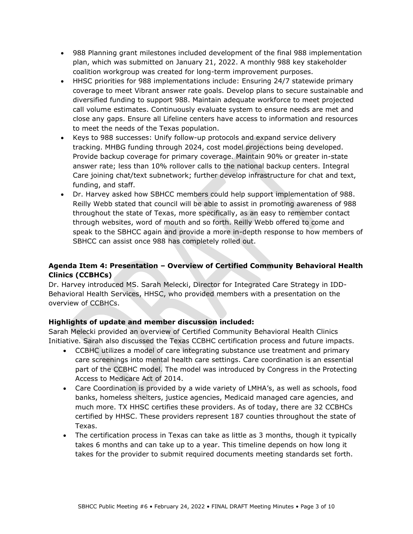- 988 Planning grant milestones included development of the final 988 implementation plan, which was submitted on January 21, 2022. A monthly 988 key stakeholder coalition workgroup was created for long-term improvement purposes.
- HHSC priorities for 988 implementations include: Ensuring 24/7 statewide primary coverage to meet Vibrant answer rate goals. Develop plans to secure sustainable and diversified funding to support 988. Maintain adequate workforce to meet projected call volume estimates. Continuously evaluate system to ensure needs are met and close any gaps. Ensure all Lifeline centers have access to information and resources to meet the needs of the Texas population.
- Keys to 988 successes: Unify follow-up protocols and expand service delivery tracking. MHBG funding through 2024, cost model projections being developed. Provide backup coverage for primary coverage. Maintain 90% or greater in-state answer rate; less than 10% rollover calls to the national backup centers. Integral Care joining chat/text subnetwork; further develop infrastructure for chat and text, funding, and staff.
- Dr. Harvey asked how SBHCC members could help support implementation of 988. Reilly Webb stated that council will be able to assist in promoting awareness of 988 throughout the state of Texas, more specifically, as an easy to remember contact through websites, word of mouth and so forth. Reilly Webb offered to come and speak to the SBHCC again and provide a more in-depth response to how members of SBHCC can assist once 988 has completely rolled out.

# **Agenda Item 4: Presentation – Overview of Certified Community Behavioral Health Clinics (CCBHCs)**

Dr. Harvey introduced MS. Sarah Melecki, Director for Integrated Care Strategy in IDD-Behavioral Health Services, HHSC, who provided members with a presentation on the overview of CCBHCs.

# **Highlights of update and member discussion included:**

Sarah Melecki provided an overview of Certified Community Behavioral Health Clinics Initiative. Sarah also discussed the Texas CCBHC certification process and future impacts.

- CCBHC utilizes a model of care integrating substance use treatment and primary care screenings into mental health care settings. Care coordination is an essential part of the CCBHC model. The model was introduced by Congress in the Protecting Access to Medicare Act of 2014.
- Care Coordination is provided by a wide variety of LMHA's, as well as schools, food banks, homeless shelters, justice agencies, Medicaid managed care agencies, and much more. TX HHSC certifies these providers. As of today, there are 32 CCBHCs certified by HHSC. These providers represent 187 counties throughout the state of Texas.
- The certification process in Texas can take as little as 3 months, though it typically takes 6 months and can take up to a year. This timeline depends on how long it takes for the provider to submit required documents meeting standards set forth.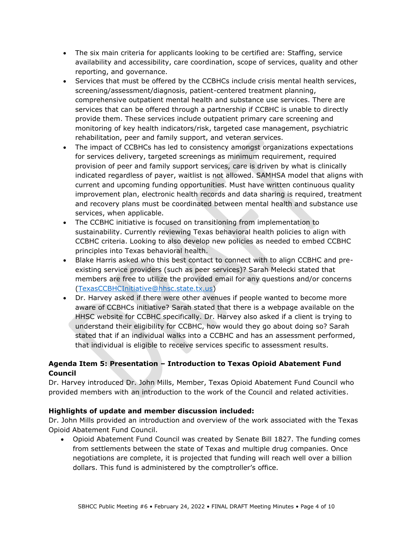- The six main criteria for applicants looking to be certified are: Staffing, service availability and accessibility, care coordination, scope of services, quality and other reporting, and governance.
- Services that must be offered by the CCBHCs include crisis mental health services, screening/assessment/diagnosis, patient-centered treatment planning, comprehensive outpatient mental health and substance use services. There are services that can be offered through a partnership if CCBHC is unable to directly provide them. These services include outpatient primary care screening and monitoring of key health indicators/risk, targeted case management, psychiatric rehabilitation, peer and family support, and veteran services.
- The impact of CCBHCs has led to consistency amongst organizations expectations for services delivery, targeted screenings as minimum requirement, required provision of peer and family support services, care is driven by what is clinically indicated regardless of payer, waitlist is not allowed. SAMHSA model that aligns with current and upcoming funding opportunities. Must have written continuous quality improvement plan, electronic health records and data sharing is required, treatment and recovery plans must be coordinated between mental health and substance use services, when applicable.
- The CCBHC initiative is focused on transitioning from implementation to sustainability. Currently reviewing Texas behavioral health policies to align with CCBHC criteria. Looking to also develop new policies as needed to embed CCBHC principles into Texas behavioral health.
- Blake Harris asked who this best contact to connect with to align CCBHC and preexisting service providers (such as peer services)? Sarah Melecki stated that members are free to utilize the provided email for any questions and/or concerns [\(TexasCCBHCInitiative@hhsc.state.tx.us\)](mailto:TexasCCBHCInitiative@hhsc.state.tx.us)
- Dr. Harvey asked if there were other avenues if people wanted to become more aware of CCBHCs initiative? Sarah stated that there is a webpage available on the HHSC website for CCBHC specifically. Dr. Harvey also asked if a client is trying to understand their eligibility for CCBHC, how would they go about doing so? Sarah stated that if an individual walks into a CCBHC and has an assessment performed, that individual is eligible to receive services specific to assessment results.

# **Agenda Item 5: Presentation – Introduction to Texas Opioid Abatement Fund Council**

Dr. Harvey introduced Dr. John Mills, Member, Texas Opioid Abatement Fund Council who provided members with an introduction to the work of the Council and related activities.

# **Highlights of update and member discussion included:**

Dr. John Mills provided an introduction and overview of the work associated with the Texas Opioid Abatement Fund Council.

• Opioid Abatement Fund Council was created by Senate Bill 1827. The funding comes from settlements between the state of Texas and multiple drug companies. Once negotiations are complete, it is projected that funding will reach well over a billion dollars. This fund is administered by the comptroller's office.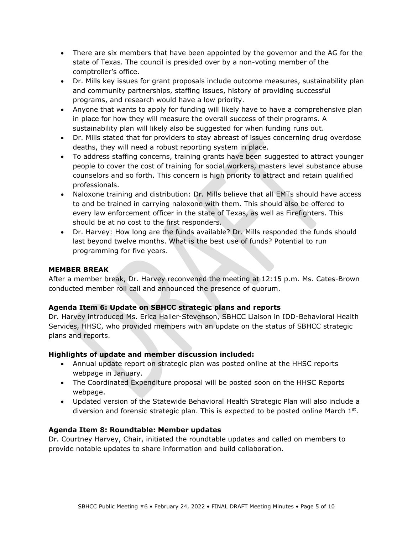- There are six members that have been appointed by the governor and the AG for the state of Texas. The council is presided over by a non-voting member of the comptroller's office.
- Dr. Mills key issues for grant proposals include outcome measures, sustainability plan and community partnerships, staffing issues, history of providing successful programs, and research would have a low priority.
- Anyone that wants to apply for funding will likely have to have a comprehensive plan in place for how they will measure the overall success of their programs. A sustainability plan will likely also be suggested for when funding runs out.
- Dr. Mills stated that for providers to stay abreast of issues concerning drug overdose deaths, they will need a robust reporting system in place.
- To address staffing concerns, training grants have been suggested to attract younger people to cover the cost of training for social workers, masters level substance abuse counselors and so forth. This concern is high priority to attract and retain qualified professionals.
- Naloxone training and distribution: Dr. Mills believe that all EMTs should have access to and be trained in carrying naloxone with them. This should also be offered to every law enforcement officer in the state of Texas, as well as Firefighters. This should be at no cost to the first responders.
- Dr. Harvey: How long are the funds available? Dr. Mills responded the funds should last beyond twelve months. What is the best use of funds? Potential to run programming for five years.

### **MEMBER BREAK**

After a member break, Dr. Harvey reconvened the meeting at 12:15 p.m. Ms. Cates-Brown conducted member roll call and announced the presence of quorum.

### **Agenda Item 6: Update on SBHCC strategic plans and reports**

Dr. Harvey introduced Ms. Erica Haller-Stevenson, SBHCC Liaison in IDD-Behavioral Health Services, HHSC, who provided members with an update on the status of SBHCC strategic plans and reports.

### **Highlights of update and member discussion included:**

- Annual update report on strategic plan was posted online at the HHSC reports webpage in January.
- The Coordinated Expenditure proposal will be posted soon on the HHSC Reports webpage.
- Updated version of the Statewide Behavioral Health Strategic Plan will also include a diversion and forensic strategic plan. This is expected to be posted online March 1st.

### **Agenda Item 8: Roundtable: Member updates**

Dr. Courtney Harvey, Chair, initiated the roundtable updates and called on members to provide notable updates to share information and build collaboration.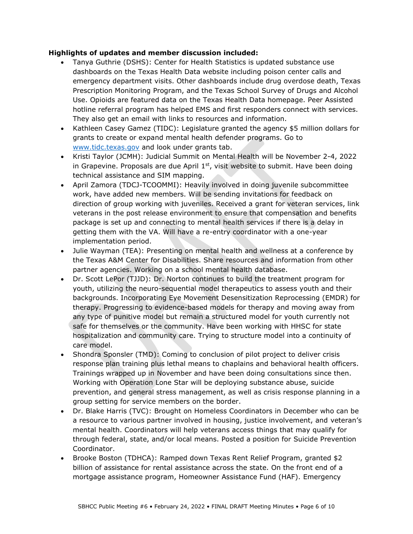#### **Highlights of updates and member discussion included:**

- Tanya Guthrie (DSHS): Center for Health Statistics is updated substance use dashboards on the Texas Health Data website including poison center calls and emergency department visits. Other dashboards include drug overdose death, Texas Prescription Monitoring Program, and the Texas School Survey of Drugs and Alcohol Use. Opioids are featured data on the Texas Health Data homepage. Peer Assisted hotline referral program has helped EMS and first responders connect with services. They also get an email with links to resources and information.
- Kathleen Casey Gamez (TIDC): Legislature granted the agency \$5 million dollars for grants to create or expand mental health defender programs. Go to [www.tidc.texas.gov](http://www.tidc.texas.gov/) and look under grants tab.
- Kristi Taylor (JCMH): Judicial Summit on Mental Health will be November 2-4, 2022 in Grapevine. Proposals are due April  $1<sup>st</sup>$ , visit website to submit. Have been doing technical assistance and SIM mapping.
- April Zamora (TDCJ-TCOOMMI): Heavily involved in doing juvenile subcommittee work, have added new members. Will be sending invitations for feedback on direction of group working with juveniles. Received a grant for veteran services, link veterans in the post release environment to ensure that compensation and benefits package is set up and connecting to mental health services if there is a delay in getting them with the VA. Will have a re-entry coordinator with a one-year implementation period.
- Julie Wayman (TEA): Presenting on mental health and wellness at a conference by the Texas A&M Center for Disabilities. Share resources and information from other partner agencies. Working on a school mental health database.
- Dr. Scott LePor (TJJD): Dr. Norton continues to build the treatment program for youth, utilizing the neuro-sequential model therapeutics to assess youth and their backgrounds. Incorporating Eye Movement Desensitization Reprocessing (EMDR) for therapy. Progressing to evidence-based models for therapy and moving away from any type of punitive model but remain a structured model for youth currently not safe for themselves or the community. Have been working with HHSC for state hospitalization and community care. Trying to structure model into a continuity of care model.
- Shondra Sponsler (TMD): Coming to conclusion of pilot project to deliver crisis response plan training plus lethal means to chaplains and behavioral health officers. Trainings wrapped up in November and have been doing consultations since then. Working with Operation Lone Star will be deploying substance abuse, suicide prevention, and general stress management, as well as crisis response planning in a group setting for service members on the border.
- Dr. Blake Harris (TVC): Brought on Homeless Coordinators in December who can be a resource to various partner involved in housing, justice involvement, and veteran's mental health. Coordinators will help veterans access things that may qualify for through federal, state, and/or local means. Posted a position for Suicide Prevention Coordinator.
- Brooke Boston (TDHCA): Ramped down Texas Rent Relief Program, granted \$2 billion of assistance for rental assistance across the state. On the front end of a mortgage assistance program, Homeowner Assistance Fund (HAF). Emergency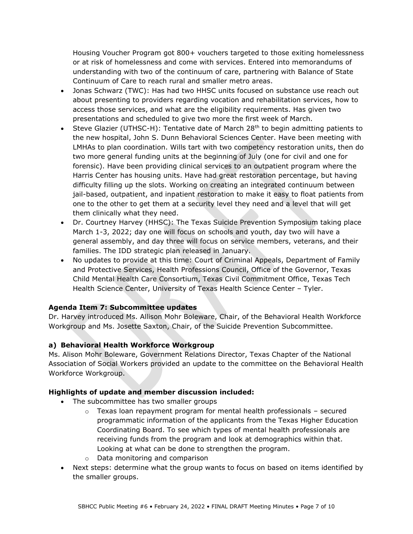Housing Voucher Program got 800+ vouchers targeted to those exiting homelessness or at risk of homelessness and come with services. Entered into memorandums of understanding with two of the continuum of care, partnering with Balance of State Continuum of Care to reach rural and smaller metro areas.

- Jonas Schwarz (TWC): Has had two HHSC units focused on substance use reach out about presenting to providers regarding vocation and rehabilitation services, how to access those services, and what are the eligibility requirements. Has given two presentations and scheduled to give two more the first week of March.
- Steve Glazier (UTHSC-H): Tentative date of March 28<sup>th</sup> to begin admitting patients to the new hospital, John S. Dunn Behavioral Sciences Center. Have been meeting with LMHAs to plan coordination. Wills tart with two competency restoration units, then do two more general funding units at the beginning of July (one for civil and one for forensic). Have been providing clinical services to an outpatient program where the Harris Center has housing units. Have had great restoration percentage, but having difficulty filling up the slots. Working on creating an integrated continuum between jail-based, outpatient, and inpatient restoration to make it easy to float patients from one to the other to get them at a security level they need and a level that will get them clinically what they need.
- Dr. Courtney Harvey (HHSC): The Texas Suicide Prevention Symposium taking place March 1-3, 2022; day one will focus on schools and youth, day two will have a general assembly, and day three will focus on service members, veterans, and their families. The IDD strategic plan released in January.
- No updates to provide at this time: Court of Criminal Appeals, Department of Family and Protective Services, Health Professions Council, Office of the Governor, Texas Child Mental Health Care Consortium, Texas Civil Commitment Office, Texas Tech Health Science Center, University of Texas Health Science Center – Tyler.

### **Agenda Item 7: Subcommittee updates**

Dr. Harvey introduced Ms. Allison Mohr Boleware, Chair, of the Behavioral Health Workforce Workgroup and Ms. Josette Saxton, Chair, of the Suicide Prevention Subcommittee.

# **a) Behavioral Health Workforce Workgroup**

Ms. Alison Mohr Boleware, Government Relations Director, Texas Chapter of the National Association of Social Workers provided an update to the committee on the Behavioral Health Workforce Workgroup.

### **Highlights of update and member discussion included:**

- The subcommittee has two smaller groups
	- $\circ$  Texas loan repayment program for mental health professionals secured programmatic information of the applicants from the Texas Higher Education Coordinating Board. To see which types of mental health professionals are receiving funds from the program and look at demographics within that. Looking at what can be done to strengthen the program.
	- o Data monitoring and comparison
- Next steps: determine what the group wants to focus on based on items identified by the smaller groups.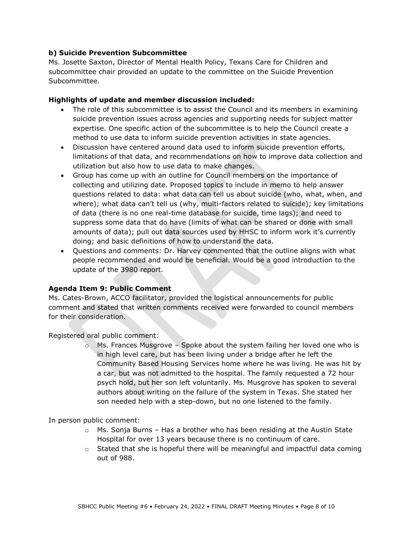#### **b) Suicide Prevention Subcommittee**

Ms. Josette Saxton, Director of Mental Health Policy, Texans Care for Children and subcommittee chair provided an update to the committee on the Suicide Prevention Subcommittee.

#### **Highlights of update and member discussion included:**

- The role of this subcommittee is to assist the Council and its members in examining suicide prevention issues across agencies and supporting needs for subject matter expertise. One specific action of the subcommittee is to help the Council create a method to use data to inform suicide prevention activities in state agencies.
- Discussion have centered around data used to inform suicide prevention efforts, limitations of that data, and recommendations on how to improve data collection and utilization but also how to use data to make changes.
- Group has come up with an outline for Council members on the importance of collecting and utilizing date. Proposed topics to include in memo to help answer questions related to data: what data can tell us about suicide (who, what, when, and where); what data can't tell us (why, multi-factors related to suicide); key limitations of data (there is no one real-time database for suicide, time lags); and need to suppress some data that do have (limits of what can be shared or done with small amounts of data); pull out data sources used by HHSC to inform work it's currently doing; and basic definitions of how to understand the data.
- Questions and comments: Dr. Harvey commented that the outline aligns with what people recommended and would be beneficial. Would be a good introduction to the update of the 3980 report.

#### **Agenda Item 9: Public Comment**

Ms. Cates-Brown, ACCO facilitator, provided the logistical announcements for public comment and stated that written comments received were forwarded to council members for their consideration.

Registered oral public comment:

 $\circ$  Ms. Frances Musgrove – Spoke about the system failing her loved one who is in high level care, but has been living under a bridge after he left the Community Based Housing Services home where he was living. He was hit by a car, but was not admitted to the hospital. The family requested a 72 hour psych hold, but her son left voluntarily. Ms. Musgrove has spoken to several authors about writing on the failure of the system in Texas. She stated her son needed help with a step-down, but no one listened to the family.

In person public comment:

- o Ms. Sonja Burns Has a brother who has been residing at the Austin State Hospital for over 13 years because there is no continuum of care.
- $\circ$  Stated that she is hopeful there will be meaningful and impactful data coming out of 988.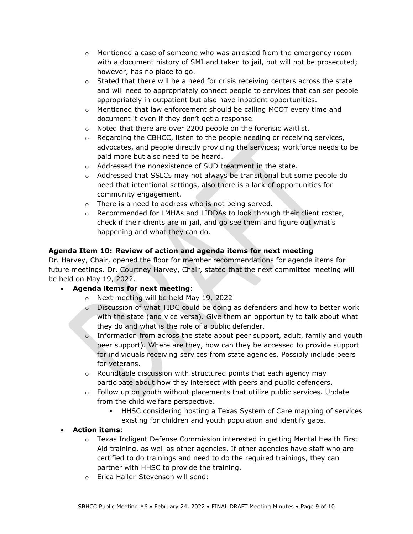- $\circ$  Mentioned a case of someone who was arrested from the emergency room with a document history of SMI and taken to jail, but will not be prosecuted; however, has no place to go.
- $\circ$  Stated that there will be a need for crisis receiving centers across the state and will need to appropriately connect people to services that can ser people appropriately in outpatient but also have inpatient opportunities.
- $\circ$  Mentioned that law enforcement should be calling MCOT every time and document it even if they don't get a response.
- o Noted that there are over 2200 people on the forensic waitlist.
- $\circ$  Regarding the CBHCC, listen to the people needing or receiving services, advocates, and people directly providing the services; workforce needs to be paid more but also need to be heard.
- o Addressed the nonexistence of SUD treatment in the state.
- $\circ$  Addressed that SSLCs may not always be transitional but some people do need that intentional settings, also there is a lack of opportunities for community engagement.
- o There is a need to address who is not being served.
- $\circ$  Recommended for LMHAs and LIDDAs to look through their client roster, check if their clients are in jail, and go see them and figure out what's happening and what they can do.

# **Agenda Item 10: Review of action and agenda items for next meeting**

Dr. Harvey, Chair, opened the floor for member recommendations for agenda items for future meetings. Dr. Courtney Harvey, Chair, stated that the next committee meeting will be held on May 19, 2022.

- **Agenda items for next meeting**:
	- o Next meeting will be held May 19, 2022
	- o Discussion of what TIDC could be doing as defenders and how to better work with the state (and vice versa). Give them an opportunity to talk about what they do and what is the role of a public defender.
	- $\circ$  Information from across the state about peer support, adult, family and youth peer support). Where are they, how can they be accessed to provide support for individuals receiving services from state agencies. Possibly include peers for veterans.
	- $\circ$  Roundtable discussion with structured points that each agency may participate about how they intersect with peers and public defenders.
	- $\circ$  Follow up on youth without placements that utilize public services. Update from the child welfare perspective.
		- HHSC considering hosting a Texas System of Care mapping of services existing for children and youth population and identify gaps.
- **Action items**:
	- o Texas Indigent Defense Commission interested in getting Mental Health First Aid training, as well as other agencies. If other agencies have staff who are certified to do trainings and need to do the required trainings, they can partner with HHSC to provide the training.
	- o Erica Haller-Stevenson will send: